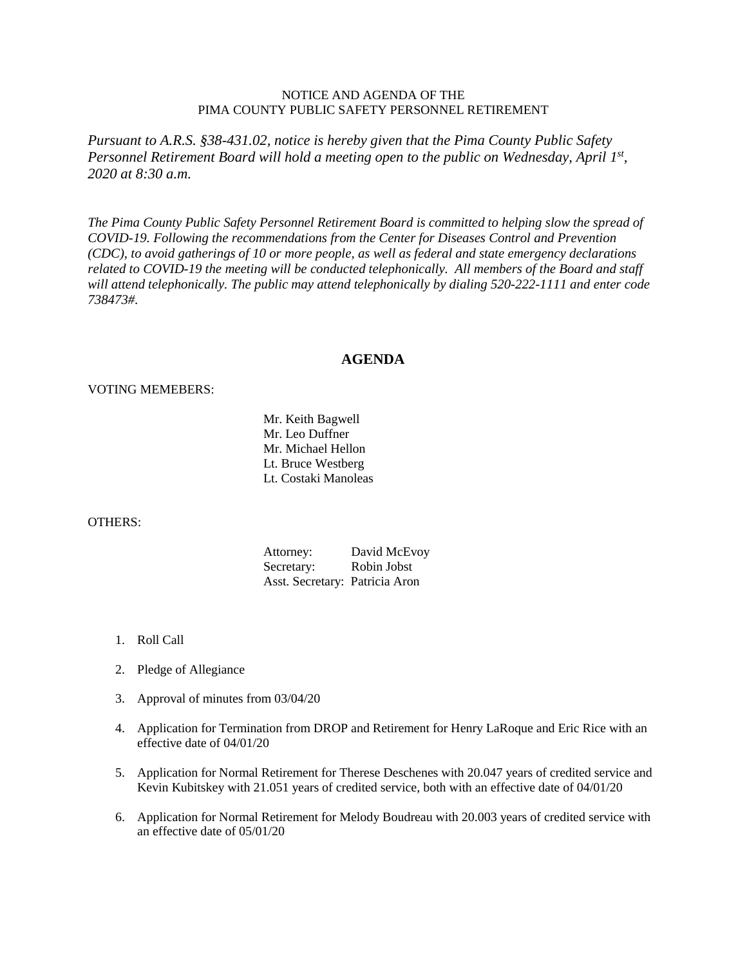## NOTICE AND AGENDA OF THE PIMA COUNTY PUBLIC SAFETY PERSONNEL RETIREMENT

*Pursuant to A.R.S. §38-431.02, notice is hereby given that the Pima County Public Safety Personnel Retirement Board will hold a meeting open to the public on Wednesday, April 1st, 2020 at 8:30 a.m.*

*The Pima County Public Safety Personnel Retirement Board is committed to helping slow the spread of COVID-19. Following the recommendations from the Center for Diseases Control and Prevention (CDC), to avoid gatherings of 10 or more people, as well as federal and state emergency declarations related to COVID-19 the meeting will be conducted telephonically. All members of the Board and staff will attend telephonically. The public may attend telephonically by dialing 520-222-1111 and enter code 738473#.*

## **AGENDA**

## VOTING MEMEBERS:

Mr. Keith Bagwell Mr. Leo Duffner Mr. Michael Hellon Lt. Bruce Westberg Lt. Costaki Manoleas

## OTHERS:

Attorney: David McEvoy Secretary: Robin Jobst Asst. Secretary: Patricia Aron

- 1. Roll Call
- 2. Pledge of Allegiance
- 3. Approval of minutes from 03/04/20
- 4. Application for Termination from DROP and Retirement for Henry LaRoque and Eric Rice with an effective date of 04/01/20
- 5. Application for Normal Retirement for Therese Deschenes with 20.047 years of credited service and Kevin Kubitskey with 21.051 years of credited service, both with an effective date of 04/01/20
- 6. Application for Normal Retirement for Melody Boudreau with 20.003 years of credited service with an effective date of 05/01/20